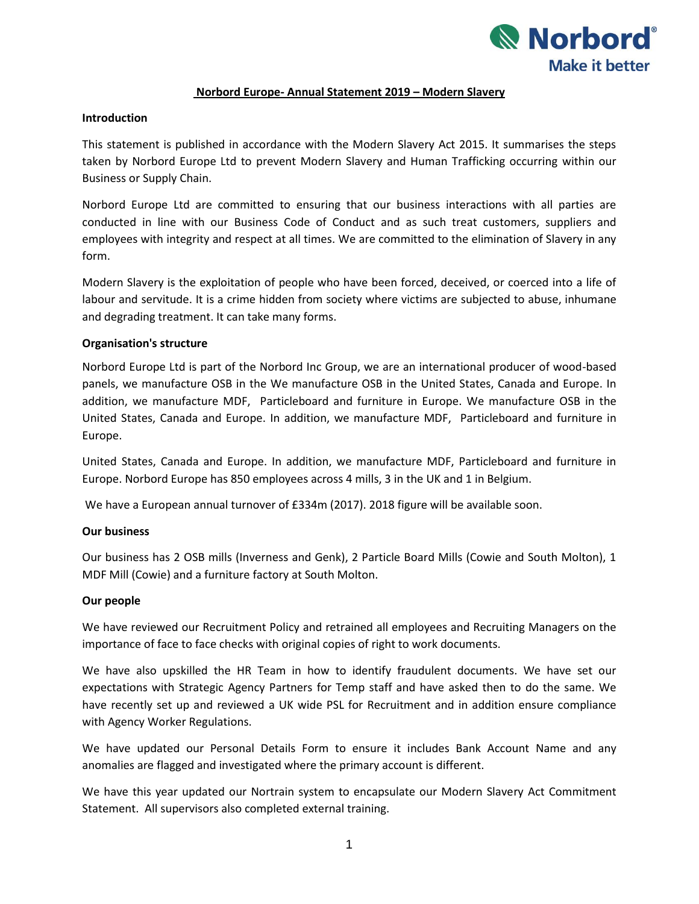

## **Norbord Europe- Annual Statement 2019 – Modern Slavery**

### **Introduction**

This statement is published in accordance with the Modern Slavery Act 2015. It summarises the steps taken by Norbord Europe Ltd to prevent Modern Slavery and Human Trafficking occurring within our Business or Supply Chain.

Norbord Europe Ltd are committed to ensuring that our business interactions with all parties are conducted in line with our Business Code of Conduct and as such treat customers, suppliers and employees with integrity and respect at all times. We are committed to the elimination of Slavery in any form.

Modern Slavery is the exploitation of people who have been forced, deceived, or coerced into a life of labour and servitude. It is a crime hidden from society where victims are subjected to abuse, inhumane and degrading treatment. It can take many forms.

## **Organisation's structure**

Norbord Europe Ltd is part of the Norbord Inc Group, we are an international producer of wood-based panels, we manufacture OSB in the We manufacture OSB in the United States, Canada and Europe. In addition, we manufacture MDF, Particleboard and furniture in Europe. We manufacture OSB in the United States, Canada and Europe. In addition, we manufacture MDF, Particleboard and furniture in Europe.

United States, Canada and Europe. In addition, we manufacture MDF, Particleboard and furniture in Europe. Norbord Europe has 850 employees across 4 mills, 3 in the UK and 1 in Belgium.

We have a European annual turnover of £334m (2017). 2018 figure will be available soon.

## **Our business**

Our business has 2 OSB mills (Inverness and Genk), 2 Particle Board Mills (Cowie and South Molton), 1 MDF Mill (Cowie) and a furniture factory at South Molton.

## **Our people**

We have reviewed our Recruitment Policy and retrained all employees and Recruiting Managers on the importance of face to face checks with original copies of right to work documents.

We have also upskilled the HR Team in how to identify fraudulent documents. We have set our expectations with Strategic Agency Partners for Temp staff and have asked then to do the same. We have recently set up and reviewed a UK wide PSL for Recruitment and in addition ensure compliance with Agency Worker Regulations.

We have updated our Personal Details Form to ensure it includes Bank Account Name and any anomalies are flagged and investigated where the primary account is different.

We have this year updated our Nortrain system to encapsulate our Modern Slavery Act Commitment Statement. All supervisors also completed external training.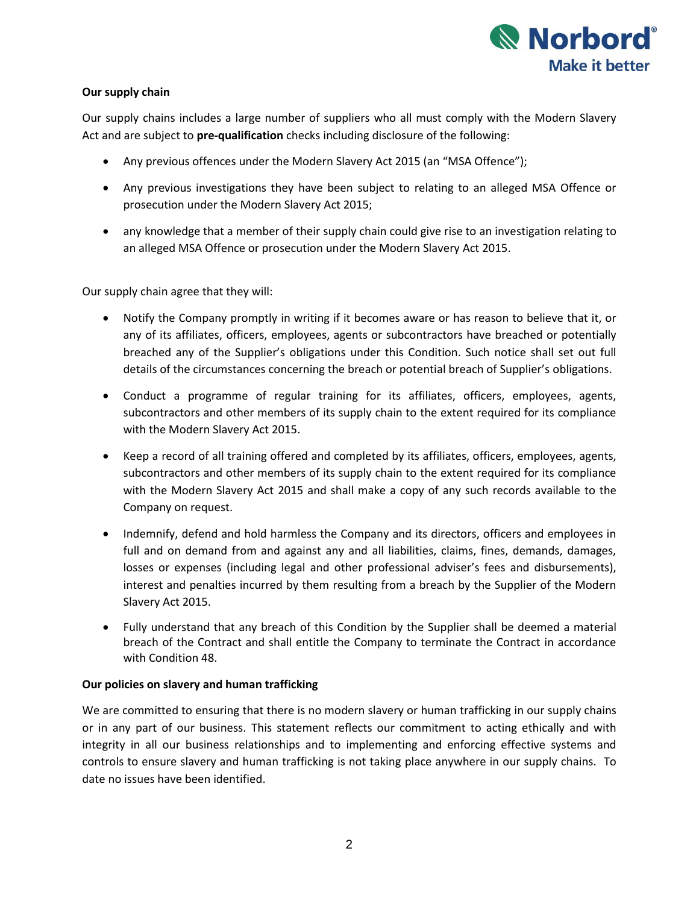

# **Our supply chain**

Our supply chains includes a large number of suppliers who all must comply with the Modern Slavery Act and are subject to **pre-qualification** checks including disclosure of the following:

- Any previous offences under the Modern Slavery Act 2015 (an "MSA Offence");
- Any previous investigations they have been subject to relating to an alleged MSA Offence or prosecution under the Modern Slavery Act 2015;
- any knowledge that a member of their supply chain could give rise to an investigation relating to an alleged MSA Offence or prosecution under the Modern Slavery Act 2015.

Our supply chain agree that they will:

- Notify the Company promptly in writing if it becomes aware or has reason to believe that it, or any of its affiliates, officers, employees, agents or subcontractors have breached or potentially breached any of the Supplier's obligations under this Condition. Such notice shall set out full details of the circumstances concerning the breach or potential breach of Supplier's obligations.
- Conduct a programme of regular training for its affiliates, officers, employees, agents, subcontractors and other members of its supply chain to the extent required for its compliance with the Modern Slavery Act 2015.
- Keep a record of all training offered and completed by its affiliates, officers, employees, agents, subcontractors and other members of its supply chain to the extent required for its compliance with the Modern Slavery Act 2015 and shall make a copy of any such records available to the Company on request.
- Indemnify, defend and hold harmless the Company and its directors, officers and employees in full and on demand from and against any and all liabilities, claims, fines, demands, damages, losses or expenses (including legal and other professional adviser's fees and disbursements), interest and penalties incurred by them resulting from a breach by the Supplier of the Modern Slavery Act 2015.
- Fully understand that any breach of this Condition by the Supplier shall be deemed a material breach of the Contract and shall entitle the Company to terminate the Contract in accordance with Condition 48.

# **Our policies on slavery and human trafficking**

We are committed to ensuring that there is no modern slavery or human trafficking in our supply chains or in any part of our business. This statement reflects our commitment to acting ethically and with integrity in all our business relationships and to implementing and enforcing effective systems and controls to ensure slavery and human trafficking is not taking place anywhere in our supply chains. To date no issues have been identified.